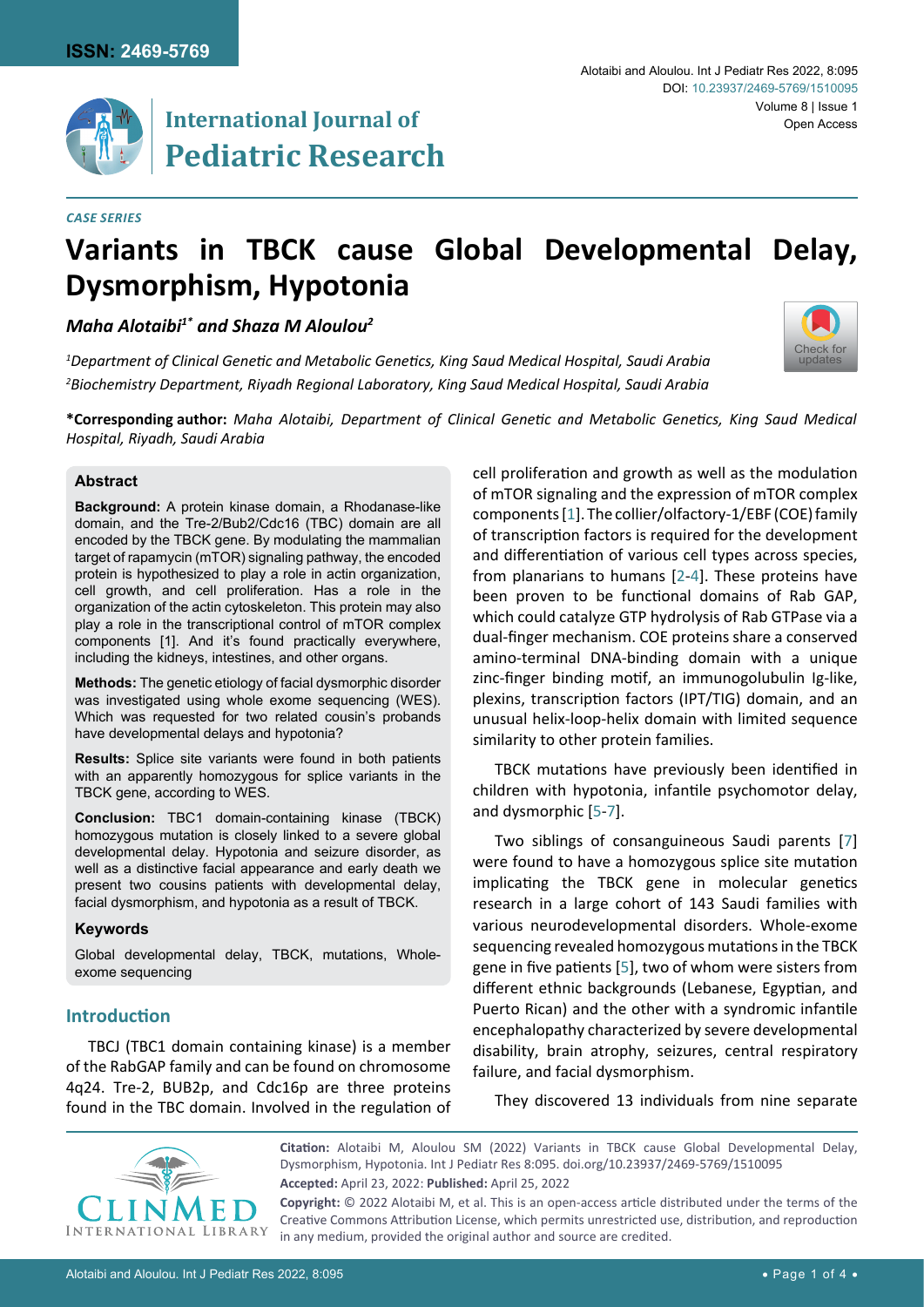

# **International Journal of Pediatric Research**

#### *Case Series*

# **Variants in TBCK cause Global Developmental Delay, Dysmorphism, Hypotonia**

# *Maha Alotaibi1\* and Shaza M Aloulou2*

*1 Department of Clinical Genetic and Metabolic Genetics, King Saud Medical Hospital, Saudi Arabia 2 Biochemistry Department, Riyadh Regional Laboratory, King Saud Medical Hospital, Saudi Arabia*

**\*Corresponding author:** *Maha Alotaibi, Department of Clinical Genetic and Metabolic Genetics, King Saud Medical Hospital, Riyadh, Saudi Arabia*

#### **Abstract**

**Background:** A protein kinase domain, a Rhodanase-like domain, and the Tre-2/Bub2/Cdc16 (TBC) domain are all encoded by the TBCK gene. By modulating the mammalian target of rapamycin (mTOR) signaling pathway, the encoded protein is hypothesized to play a role in actin organization, cell growth, and cell proliferation. Has a role in the organization of the actin cytoskeleton. This protein may also play a role in the transcriptional control of mTOR complex components [1]. And it's found practically everywhere, including the kidneys, intestines, and other organs.

**Methods:** The genetic etiology of facial dysmorphic disorder was investigated using whole exome sequencing (WES). Which was requested for two related cousin's probands have developmental delays and hypotonia?

**Results:** Splice site variants were found in both patients with an apparently homozygous for splice variants in the TBCK gene, according to WES.

**Conclusion:** TBC1 domain-containing kinase (TBCK) homozygous mutation is closely linked to a severe global developmental delay. Hypotonia and seizure disorder, as well as a distinctive facial appearance and early death we present two cousins patients with developmental delay, facial dysmorphism, and hypotonia as a result of TBCK.

#### **Keywords**

Global developmental delay, TBCK, mutations, Wholeexome sequencing

# **Introduction**

TBCJ (TBC1 domain containing kinase) is a member of the RabGAP family and can be found on chromosome 4q24. Tre-2, BUB2p, and Cdc16p are three proteins found in the TBC domain. Involved in the regulation of

cell proliferation and growth as well as the modulation of mTOR signaling and the expression of mTOR complex components [\[1](#page-3-0)]. The collier/olfactory-1/EBF (COE) family of transcription factors is required for the development and differentiation of various cell types across species, from planarians to humans [[2-](#page-3-1)[4\]](#page-3-2). These proteins have been proven to be functional domains of Rab GAP, which could catalyze GTP hydrolysis of Rab GTPase via a dual-finger mechanism. COE proteins share a conserved amino-terminal DNA-binding domain with a unique zinc-finger binding motif, an immunogolubulin Ig-like, plexins, transcription factors (IPT/TIG) domain, and an unusual helix-loop-helix domain with limited sequence similarity to other protein families.

TBCK mutations have previously been identified in children with hypotonia, infantile psychomotor delay, and dysmorphic [\[5-](#page-3-3)[7\]](#page-3-4).

Two siblings of consanguineous Saudi parents [[7](#page-3-4)] were found to have a homozygous splice site mutation implicating the TBCK gene in molecular genetics research in a large cohort of 143 Saudi families with various neurodevelopmental disorders. Whole-exome sequencing revealed homozygous mutations in the TBCK gene in five patients [[5](#page-3-3)], two of whom were sisters from different ethnic backgrounds (Lebanese, Egyptian, and Puerto Rican) and the other with a syndromic infantile encephalopathy characterized by severe developmental disability, brain atrophy, seizures, central respiratory failure, and facial dysmorphism.

They discovered 13 individuals from nine separate



**Citation:** Alotaibi M, Aloulou SM (2022) Variants in TBCK cause Global Developmental Delay, Dysmorphism, Hypotonia. Int J Pediatr Res 8:095. [doi.org/10.23937/2469-5769/1510095](https://doi.org/10.23937/2469-5769/1510095) **Accepted:** April 23, 2022: **Published:** April 25, 2022

**Copyright:** © 2022 Alotaibi M, et al. This is an open-access article distributed under the terms of the Creative Commons Attribution License, which permits unrestricted use, distribution, and reproduction in any medium, provided the original author and source are credited.

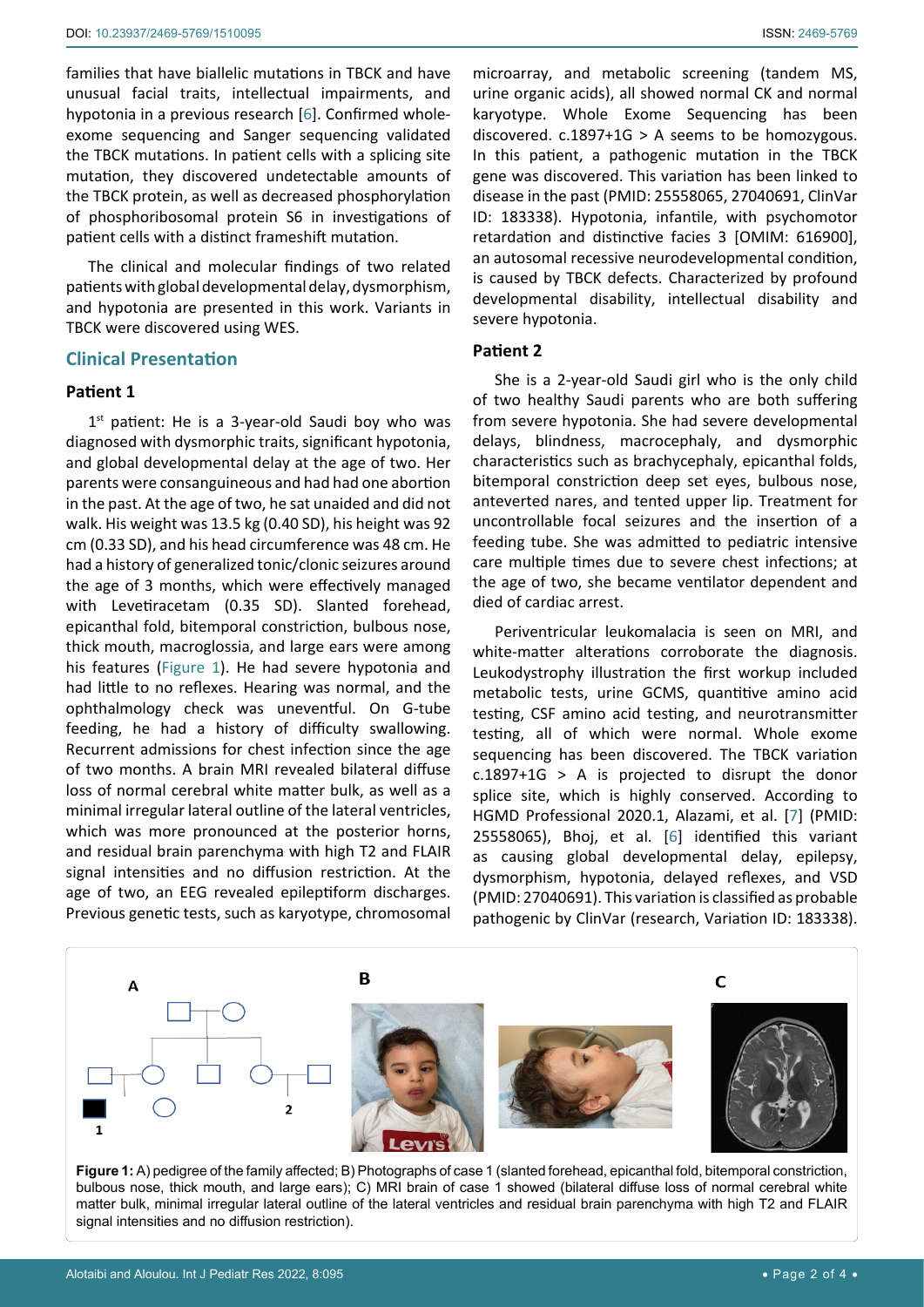families that have biallelic mutations in TBCK and have unusual facial traits, intellectual impairments, and hypotonia in a previous research [\[6](#page-3-5)]. Confirmed wholeexome sequencing and Sanger sequencing validated the TBCK mutations. In patient cells with a splicing site mutation, they discovered undetectable amounts of the TBCK protein, as well as decreased phosphorylation of phosphoribosomal protein S6 in investigations of patient cells with a distinct frameshift mutation.

The clinical and molecular findings of two related patients with global developmental delay, dysmorphism, and hypotonia are presented in this work. Variants in TBCK were discovered using WES.

#### **Clinical Presentation**

#### **Patient 1**

 $1<sup>st</sup>$  patient: He is a 3-year-old Saudi boy who was diagnosed with dysmorphic traits, significant hypotonia, and global developmental delay at the age of two. Her parents were consanguineous and had had one abortion in the past. At the age of two, he sat unaided and did not walk. His weight was 13.5 kg (0.40 SD), his height was 92 cm (0.33 SD), and his head circumference was 48 cm. He had a history of generalized tonic/clonic seizures around the age of 3 months, which were effectively managed with Levetiracetam (0.35 SD). Slanted forehead, epicanthal fold, bitemporal constriction, bulbous nose, thick mouth, macroglossia, and large ears were among his features [\(Figure 1](#page-1-0)). He had severe hypotonia and had little to no reflexes. Hearing was normal, and the ophthalmology check was uneventful. On G-tube feeding, he had a history of difficulty swallowing. Recurrent admissions for chest infection since the age of two months. A brain MRI revealed bilateral diffuse loss of normal cerebral white matter bulk, as well as a minimal irregular lateral outline of the lateral ventricles, which was more pronounced at the posterior horns, and residual brain parenchyma with high T2 and FLAIR signal intensities and no diffusion restriction. At the age of two, an EEG revealed epileptiform discharges. Previous genetic tests, such as karyotype, chromosomal

microarray, and metabolic screening (tandem MS, urine organic acids), all showed normal CK and normal karyotype. Whole Exome Sequencing has been discovered.  $c.1897+1G > A$  seems to be homozygous. In this patient, a pathogenic mutation in the TBCK gene was discovered. This variation has been linked to disease in the past (PMID: 25558065, 27040691, ClinVar ID: 183338). Hypotonia, infantile, with psychomotor retardation and distinctive facies 3 [OMIM: 616900], an autosomal recessive neurodevelopmental condition, is caused by TBCK defects. Characterized by profound developmental disability, intellectual disability and severe hypotonia.

#### **Patient 2**

She is a 2-year-old Saudi girl who is the only child of two healthy Saudi parents who are both suffering from severe hypotonia. She had severe developmental delays, blindness, macrocephaly, and dysmorphic characteristics such as brachycephaly, epicanthal folds, bitemporal constriction deep set eyes, bulbous nose, anteverted nares, and tented upper lip. Treatment for uncontrollable focal seizures and the insertion of a feeding tube. She was admitted to pediatric intensive care multiple times due to severe chest infections; at the age of two, she became ventilator dependent and died of cardiac arrest.

Periventricular leukomalacia is seen on MRI, and white-matter alterations corroborate the diagnosis. Leukodystrophy illustration the first workup included metabolic tests, urine GCMS, quantitive amino acid testing, CSF amino acid testing, and neurotransmitter testing, all of which were normal. Whole exome sequencing has been discovered. The TBCK variation c.1897+1G > A is projected to disrupt the donor splice site, which is highly conserved. According to HGMD Professional 2020.1, Alazami, et al. [[7](#page-3-4)] (PMID: 25558065), Bhoj, et al. [\[6](#page-3-5)] identified this variant as causing global developmental delay, epilepsy, dysmorphism, hypotonia, delayed reflexes, and VSD (PMID: 27040691). This variation is classified as probable pathogenic by ClinVar (research, Variation ID: 183338).

<span id="page-1-0"></span>

**Figure 1:** A) pedigree of the family affected; B) Photographs of case 1 (slanted forehead, epicanthal fold, bitemporal constriction, bulbous nose, thick mouth, and large ears); C) MRI brain of case 1 showed (bilateral diffuse loss of normal cerebral white matter bulk, minimal irregular lateral outline of the lateral ventricles and residual brain parenchyma with high T2 and FLAIR signal intensities and no diffusion restriction).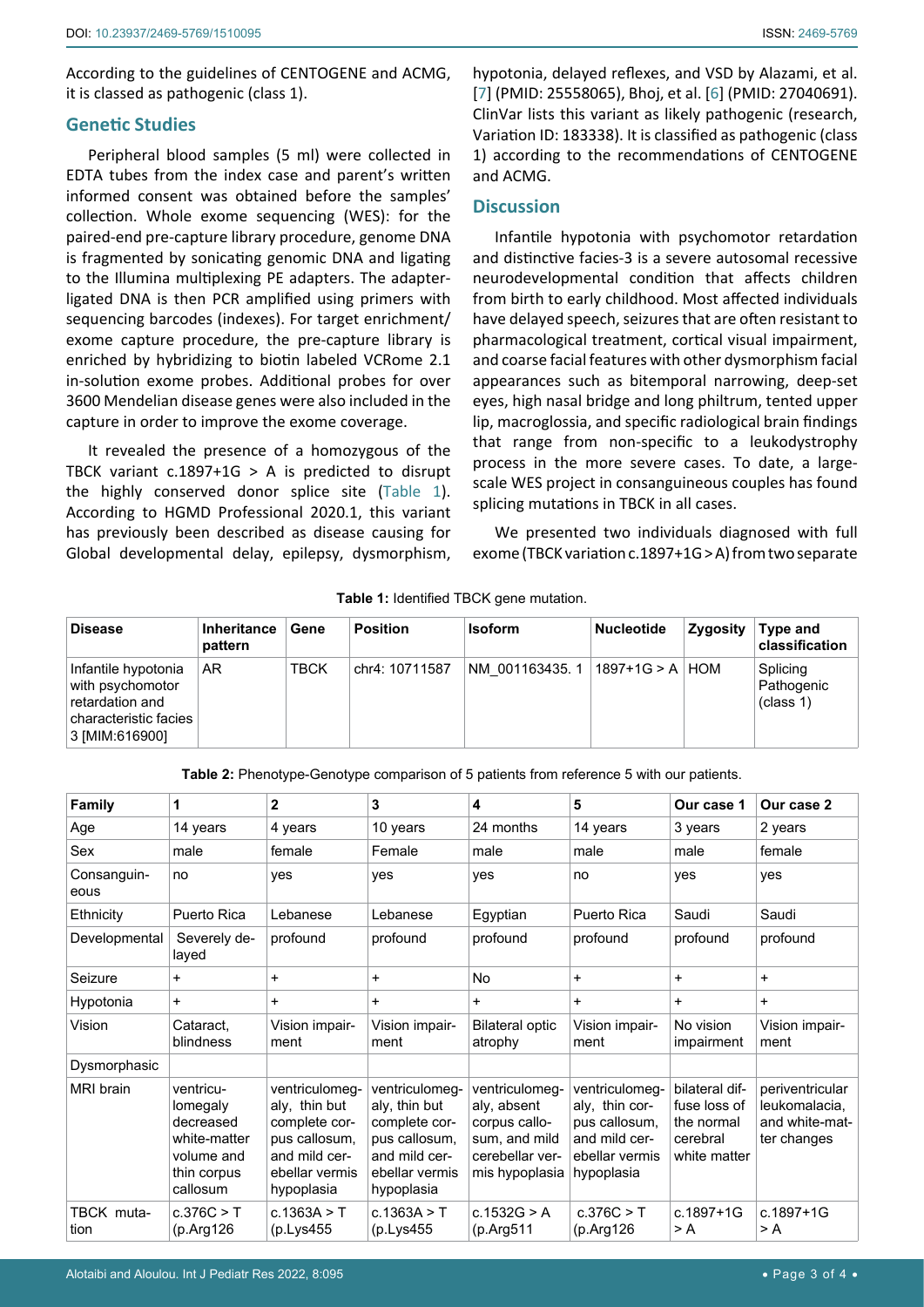According to the guidelines of CENTOGENE and ACMG, it is classed as pathogenic (class 1).

#### **Genetic Studies**

Peripheral blood samples (5 ml) were collected in EDTA tubes from the index case and parent's written informed consent was obtained before the samples' collection. Whole exome sequencing (WES): for the paired-end pre-capture library procedure, genome DNA is fragmented by sonicating genomic DNA and ligating to the Illumina multiplexing PE adapters. The adapterligated DNA is then PCR amplified using primers with sequencing barcodes (indexes). For target enrichment/ exome capture procedure, the pre-capture library is enriched by hybridizing to biotin labeled VCRome 2.1 in-solution exome probes. Additional probes for over 3600 Mendelian disease genes were also included in the capture in order to improve the exome coverage.

It revealed the presence of a homozygous of the TBCK variant  $c.1897+1G > A$  is predicted to disrupt the highly conserved donor splice site ([Table 1](#page-2-0)). According to HGMD Professional 2020.1, this variant has previously been described as disease causing for Global developmental delay, epilepsy, dysmorphism,

hypotonia, delayed reflexes, and VSD by Alazami, et al. [\[7\]](#page-3-4) (PMID: 25558065), Bhoj, et al. [[6](#page-3-5)] (PMID: 27040691). ClinVar lists this variant as likely pathogenic (research, Variation ID: 183338). It is classified as pathogenic (class 1) according to the recommendations of CENTOGENE and ACMG.

# **Discussion**

Infantile hypotonia with psychomotor retardation and distinctive facies-3 is a severe autosomal recessive neurodevelopmental condition that affects children from birth to early childhood. Most affected individuals have delayed speech, seizures that are often resistant to pharmacological treatment, cortical visual impairment, and coarse facial features with other dysmorphism facial appearances such as bitemporal narrowing, deep-set eyes, high nasal bridge and long philtrum, tented upper lip, macroglossia, and specific radiological brain findings that range from non-specific to a leukodystrophy process in the more severe cases. To date, a largescale WES project in consanguineous couples has found splicing mutations in TBCK in all cases.

We presented two individuals diagnosed with full exome (TBCK variation c.1897+1G > A) from two separate

| <b>Disease</b>                                                                                        | <b>Inheritance</b><br>pattern | Gene        | <b>Position</b> | <b>Isoform</b> | <b>Nucleotide</b> | Zygosity | Type and<br>classification          |
|-------------------------------------------------------------------------------------------------------|-------------------------------|-------------|-----------------|----------------|-------------------|----------|-------------------------------------|
| Infantile hypotonia<br>with psychomotor<br>retardation and<br>characteristic facies<br>3 [MIM:616900] | AR.                           | <b>TBCK</b> | chr4: 10711587  | NM 001163435.1 | $1897+1G > A$ HOM |          | Splicing<br>Pathogenic<br>(class 1) |

<span id="page-2-0"></span>**Table 1:** Identified TBCK gene mutation.

<span id="page-2-1"></span>**Table 2:** Phenotype-Genotype comparison of 5 patients from reference 5 with our patients.

| <b>Family</b>       | 1                                                                                           | $\mathbf{2}$                                                                                                       | 3                                                                                                                  | 4                                                                                                    | 5                                                                                                  | Our case 1                                                               | Our case 2                                                        |
|---------------------|---------------------------------------------------------------------------------------------|--------------------------------------------------------------------------------------------------------------------|--------------------------------------------------------------------------------------------------------------------|------------------------------------------------------------------------------------------------------|----------------------------------------------------------------------------------------------------|--------------------------------------------------------------------------|-------------------------------------------------------------------|
| Age                 | 14 years                                                                                    | 4 years                                                                                                            | 10 years                                                                                                           | 24 months                                                                                            | 14 years                                                                                           | 3 years                                                                  | 2 years                                                           |
| Sex                 | male                                                                                        | female                                                                                                             | Female                                                                                                             | male                                                                                                 | male                                                                                               | male                                                                     | female                                                            |
| Consanguin-<br>eous | no                                                                                          | yes                                                                                                                | yes                                                                                                                | yes                                                                                                  | no                                                                                                 | yes                                                                      | yes                                                               |
| Ethnicity           | Puerto Rica                                                                                 | Lebanese                                                                                                           | Lebanese                                                                                                           | Egyptian                                                                                             | <b>Puerto Rica</b>                                                                                 | Saudi                                                                    | Saudi                                                             |
| Developmental       | Severely de-<br>layed                                                                       | profound                                                                                                           | profound                                                                                                           | profound                                                                                             | profound                                                                                           | profound                                                                 | profound                                                          |
| Seizure             | $\ddot{}$                                                                                   | $\ddot{}$                                                                                                          | $\ddot{}$                                                                                                          | No                                                                                                   | +                                                                                                  | $\ddot{}$                                                                | $+$                                                               |
| Hypotonia           | $\ddot{}$                                                                                   | $\ddot{}$                                                                                                          | $\ddot{}$                                                                                                          | $\ddot{}$                                                                                            | $\ddot{}$                                                                                          | $\ddot{}$                                                                | $+$                                                               |
| Vision              | Cataract.<br>blindness                                                                      | Vision impair-<br>ment                                                                                             | Vision impair-<br>ment                                                                                             | <b>Bilateral optic</b><br>atrophy                                                                    | Vision impair-<br>ment                                                                             | No vision<br>impairment                                                  | Vision impair-<br>ment                                            |
| Dysmorphasic        |                                                                                             |                                                                                                                    |                                                                                                                    |                                                                                                      |                                                                                                    |                                                                          |                                                                   |
| <b>MRI</b> brain    | ventricu-<br>lomegaly<br>decreased<br>white-matter<br>volume and<br>thin corpus<br>callosum | ventriculomeg-<br>aly, thin but<br>complete cor-<br>pus callosum,<br>and mild cer-<br>ebellar vermis<br>hypoplasia | ventriculomeg-<br>aly, thin but<br>complete cor-<br>pus callosum,<br>and mild cer-<br>ebellar vermis<br>hypoplasia | ventriculomeg-<br>aly, absent<br>corpus callo-<br>sum, and mild<br>cerebellar ver-<br>mis hypoplasia | ventriculomeg-<br>aly, thin cor-<br>pus callosum.<br>and mild cer-<br>ebellar vermis<br>hypoplasia | bilateral dif-<br>fuse loss of<br>the normal<br>cerebral<br>white matter | periventricular<br>leukomalacia.<br>and white-mat-<br>ter changes |
| TBCK muta-<br>tion  | c.376C > T<br>(p.Arg126)                                                                    | c.1363A > T<br>(p.Lys455                                                                                           | c.1363A > T<br>(p.Lys455                                                                                           | c.1532G $> A$<br>(p. Arg511)                                                                         | c.376C > T<br>(p.Arg126)                                                                           | $c.1897 + 1G$<br>> A                                                     | $c.1897 + 1G$<br>> A                                              |